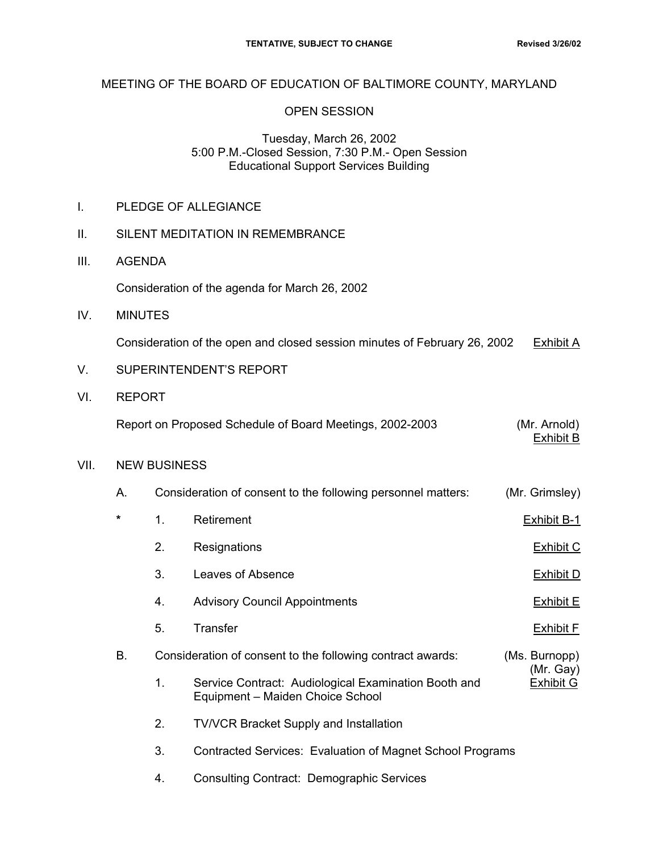## MEETING OF THE BOARD OF EDUCATION OF BALTIMORE COUNTY, MARYLAND

### OPEN SESSION

#### Tuesday, March 26, 2002 5:00 P.M.-Closed Session, 7:30 P.M.- Open Session Educational Support Services Building

|  |  | PLEDGE OF ALLEGIANCE |
|--|--|----------------------|
|--|--|----------------------|

- II. SILENT MEDITATION IN REMEMBRANCE
- III. AGENDA

Consideration of the agenda for March 26, 2002

IV. MINUTES

Consideration of the open and closed session minutes of February 26, 2002 Exhibit A

- V. SUPERINTENDENT'S REPORT
- VI. REPORT

Report on Proposed Schedule of Board Meetings, 2002-2003 (Mr. Arnold)

exhibit B. San Barance and the contract of the contract of the B. San Barance and the B. San Barance and the B

#### VII. NEW BUSINESS

| А. |    | Consideration of consent to the following personnel matters:                             | (Mr. Grimsley)             |  |
|----|----|------------------------------------------------------------------------------------------|----------------------------|--|
| *  | 1. | Retirement                                                                               | <b>Exhibit B-1</b>         |  |
|    | 2. | Resignations                                                                             | Exhibit C                  |  |
|    | 3. | Leaves of Absence                                                                        | Exhibit D                  |  |
|    | 4. | <b>Advisory Council Appointments</b>                                                     | <b>Exhibit E</b>           |  |
|    | 5. | Transfer                                                                                 | <b>Exhibit F</b>           |  |
| В. |    | Consideration of consent to the following contract awards:                               | (Ms. Burnopp)<br>(Mr. Gay) |  |
|    | 1. | Service Contract: Audiological Examination Booth and<br>Equipment - Maiden Choice School | <b>Exhibit G</b>           |  |

- 2. TV/VCR Bracket Supply and Installation
- 3. Contracted Services: Evaluation of Magnet School Programs
- 4. Consulting Contract: Demographic Services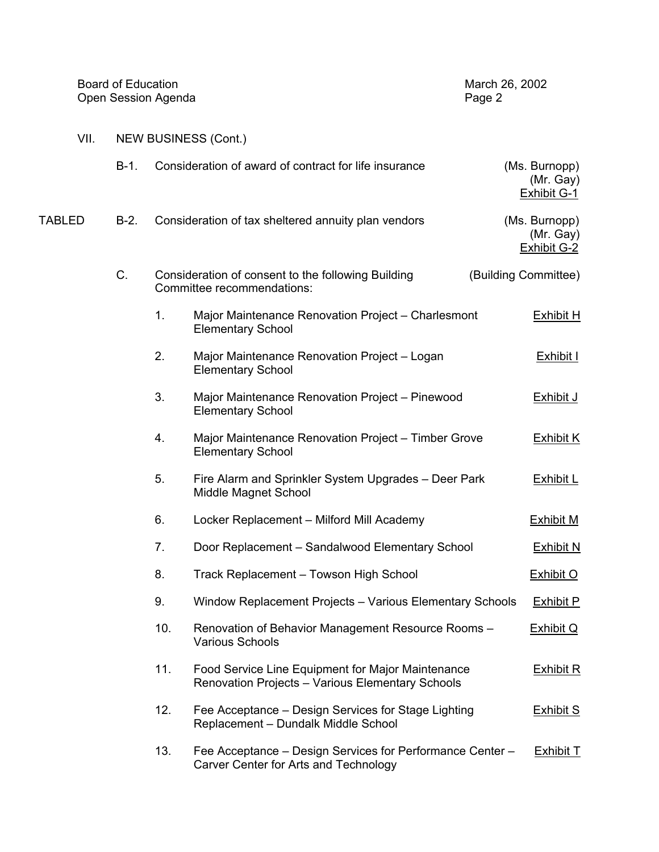|      | Board of Education   | March 26, 2002 |  |  |
|------|----------------------|----------------|--|--|
|      | Open Session Agenda  | Page 2         |  |  |
| VII. | NEW BUSINESS (Cont.) |                |  |  |

|        | $B-1.$ |     | Consideration of award of contract for life insurance                                                 | (Ms. Burnopp)<br>(Mr. Gay)<br><b>Exhibit G-1</b> |
|--------|--------|-----|-------------------------------------------------------------------------------------------------------|--------------------------------------------------|
| TABLED | $B-2.$ |     | Consideration of tax sheltered annuity plan vendors                                                   | (Ms. Burnopp)<br>(Mr. Gay)<br><b>Exhibit G-2</b> |
|        | C.     |     | Consideration of consent to the following Building<br>Committee recommendations:                      | (Building Committee)                             |
|        |        | 1.  | Major Maintenance Renovation Project - Charlesmont<br><b>Elementary School</b>                        | <b>Exhibit H</b>                                 |
|        |        | 2.  | Major Maintenance Renovation Project - Logan<br><b>Elementary School</b>                              | <b>Exhibit I</b>                                 |
|        |        | 3.  | Major Maintenance Renovation Project - Pinewood<br><b>Elementary School</b>                           | <b>Exhibit J</b>                                 |
|        |        | 4.  | Major Maintenance Renovation Project - Timber Grove<br><b>Elementary School</b>                       | Exhibit K                                        |
|        |        | 5.  | Fire Alarm and Sprinkler System Upgrades - Deer Park<br>Middle Magnet School                          | <b>Exhibit L</b>                                 |
|        |        | 6.  | Locker Replacement - Milford Mill Academy                                                             | <b>Exhibit M</b>                                 |
|        |        | 7.  | Door Replacement - Sandalwood Elementary School                                                       | <b>Exhibit N</b>                                 |
|        |        | 8.  | Track Replacement - Towson High School                                                                | <b>Exhibit O</b>                                 |
|        |        | 9.  | Window Replacement Projects - Various Elementary Schools                                              | <b>Exhibit P</b>                                 |
|        |        | 10. | Renovation of Behavior Management Resource Rooms -<br>Various Schools                                 | Exhibit Q                                        |
|        |        | 11. | Food Service Line Equipment for Major Maintenance<br>Renovation Projects - Various Elementary Schools | <b>Exhibit R</b>                                 |
|        |        | 12. | Fee Acceptance – Design Services for Stage Lighting<br>Replacement - Dundalk Middle School            | <b>Exhibit S</b>                                 |
|        |        | 13. | Fee Acceptance - Design Services for Performance Center -<br>Carver Center for Arts and Technology    | Exhibit T                                        |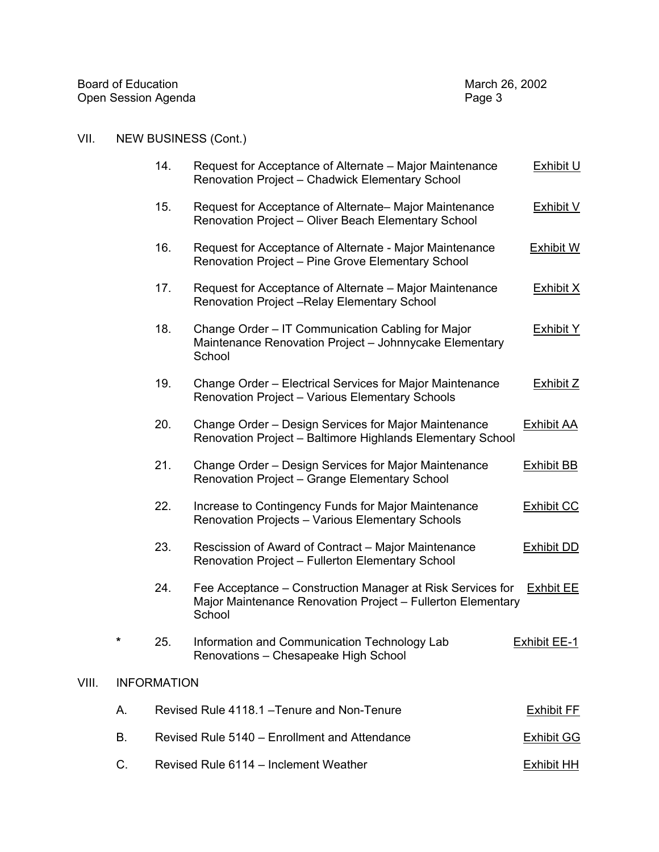| Board of Education  | March 26, 2002 |
|---------------------|----------------|
| Open Session Agenda | Page 3         |

# VII. NEW BUSINESS (Cont.)

|       |    | 14.                | Request for Acceptance of Alternate – Major Maintenance<br>Renovation Project - Chadwick Elementary School                          | Exhibit U         |
|-------|----|--------------------|-------------------------------------------------------------------------------------------------------------------------------------|-------------------|
|       |    | 15.                | Request for Acceptance of Alternate– Major Maintenance<br>Renovation Project - Oliver Beach Elementary School                       | <b>Exhibit V</b>  |
|       |    | 16.                | Request for Acceptance of Alternate - Major Maintenance<br>Renovation Project - Pine Grove Elementary School                        | <b>Exhibit W</b>  |
|       |    | 17.                | Request for Acceptance of Alternate – Major Maintenance<br>Renovation Project - Relay Elementary School                             | <b>Exhibit X</b>  |
|       |    | 18.                | Change Order - IT Communication Cabling for Major<br>Maintenance Renovation Project - Johnnycake Elementary<br>School               | <b>Exhibit Y</b>  |
|       |    | 19.                | Change Order - Electrical Services for Major Maintenance<br>Renovation Project - Various Elementary Schools                         | <b>Exhibit Z</b>  |
|       |    | 20.                | Change Order - Design Services for Major Maintenance<br>Renovation Project - Baltimore Highlands Elementary School                  | <b>Exhibit AA</b> |
|       |    | 21.                | Change Order - Design Services for Major Maintenance<br>Renovation Project - Grange Elementary School                               | <b>Exhibit BB</b> |
|       |    | 22.                | Increase to Contingency Funds for Major Maintenance<br>Renovation Projects - Various Elementary Schools                             | <b>Exhibit CC</b> |
|       |    | 23.                | Rescission of Award of Contract - Major Maintenance<br>Renovation Project - Fullerton Elementary School                             | <b>Exhibit DD</b> |
|       |    | 24.                | Fee Acceptance – Construction Manager at Risk Services for<br>Major Maintenance Renovation Project - Fullerton Elementary<br>School | <b>Exhbit EE</b>  |
|       | *  | 25.                | Information and Communication Technology Lab<br>Renovations - Chesapeake High School                                                | Exhibit EE-1      |
| VIII. |    | <b>INFORMATION</b> |                                                                                                                                     |                   |
|       | Α. |                    | Revised Rule 4118.1 - Tenure and Non-Tenure                                                                                         | <b>Exhibit FE</b> |
|       | В. |                    | Revised Rule 5140 - Enrollment and Attendance                                                                                       | <b>Exhibit GG</b> |
|       | C. |                    | Revised Rule 6114 - Inclement Weather                                                                                               | <b>Exhibit HH</b> |